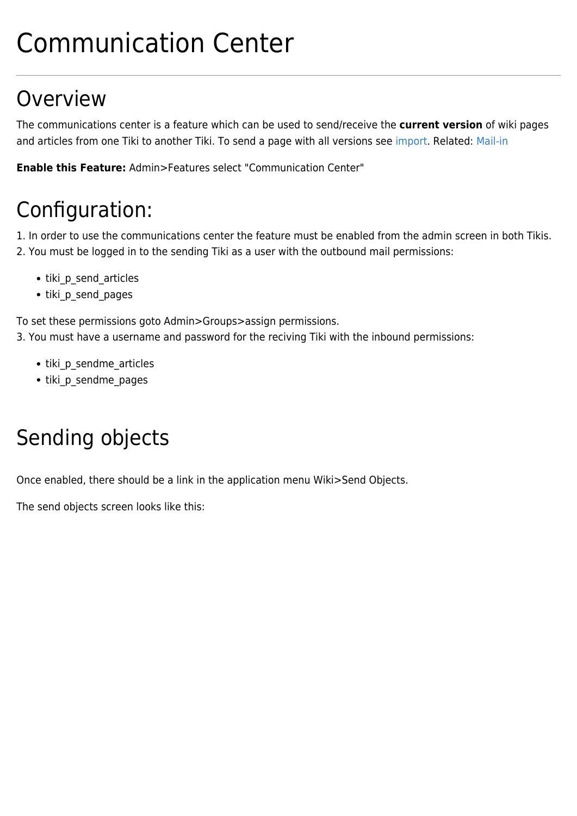# Communication Center

# **Overview**

The communications center is a feature which can be used to send/receive the **current version** of wiki pages and articles from one Tiki to another Tiki. To send a page with all versions see [import.](https://doc.tiki.org/import) Related: [Mail-in](https://doc.tiki.org/Mail-in)

**Enable this Feature:** Admin>Features select "Communication Center"

# Configuration:

1. In order to use the communications center the feature must be enabled from the admin screen in both Tikis. 2. You must be logged in to the sending Tiki as a user with the outbound mail permissions:

- tiki p send articles
- tiki\_p\_send\_pages

To set these permissions goto Admin>Groups>assign permissions.

3. You must have a username and password for the reciving Tiki with the inbound permissions:

- tiki p\_sendme\_articles
- tiki p sendme pages

# Sending objects

Once enabled, there should be a link in the application menu Wiki>Send Objects.

The send objects screen looks like this: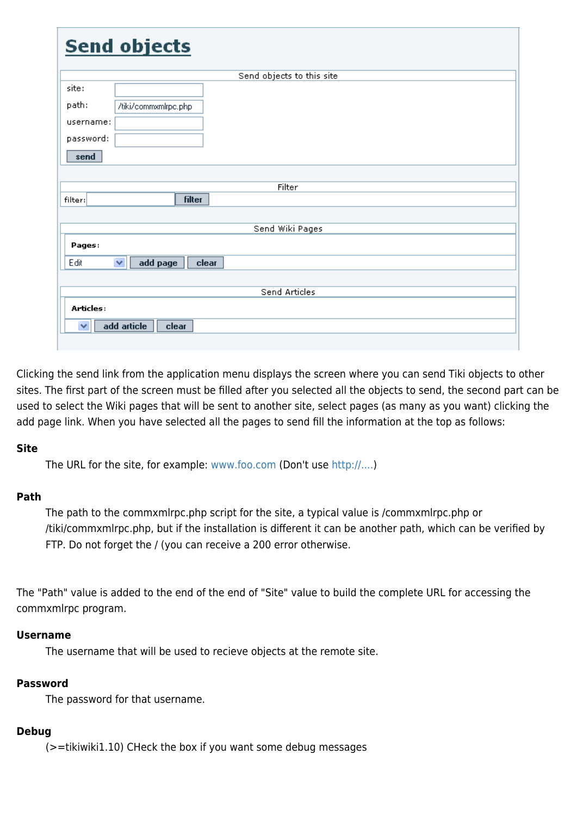| <b>Send objects</b>            |
|--------------------------------|
| Send objects to this site      |
| site:                          |
|                                |
| path:<br>/tiki/commxmlrpc.php  |
| username:                      |
| password:                      |
|                                |
| send                           |
|                                |
| Filter                         |
| <b>filter</b><br>filter:       |
|                                |
|                                |
| Send Wiki Pages                |
| Pages:                         |
| add page<br>v<br>Edit<br>clear |
|                                |
|                                |
| Send Articles                  |
| Articles:                      |
| add article<br>×               |
| clear                          |
|                                |

Clicking the send link from the application menu displays the screen where you can send Tiki objects to other sites. The first part of the screen must be filled after you selected all the objects to send, the second part can be used to select the Wiki pages that will be sent to another site, select pages (as many as you want) clicking the add page link. When you have selected all the pages to send fill the information at the top as follows:

#### **Site**

The URL for the site, for example: [www.foo.com](http://www.foo.com) (Don't use<http://....>)

#### **Path**

The path to the commxmlrpc.php script for the site, a typical value is /commxmlrpc.php or /tiki/commxmlrpc.php, but if the installation is different it can be another path, which can be verified by FTP. Do not forget the / (you can receive a 200 error otherwise.

The "Path" value is added to the end of the end of "Site" value to build the complete URL for accessing the commxmlrpc program.

#### **Username**

The username that will be used to recieve objects at the remote site.

#### **Password**

The password for that username.

#### **Debug**

(>=tikiwiki1.10) CHeck the box if you want some debug messages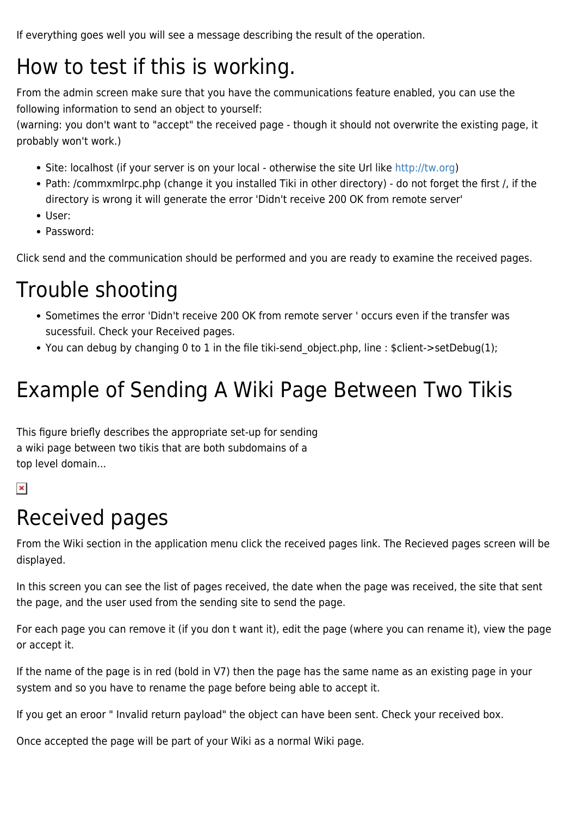If everything goes well you will see a message describing the result of the operation.

### How to test if this is working.

From the admin screen make sure that you have the communications feature enabled, you can use the following information to send an object to yourself:

(warning: you don't want to "accept" the received page - though it should not overwrite the existing page, it probably won't work.)

- Site: localhost (if your server is on your local otherwise the site Url like [http://tw.org\)](http://tw.org)
- Path: /commxmlrpc.php (change it you installed Tiki in other directory) do not forget the first /, if the directory is wrong it will generate the error 'Didn't receive 200 OK from remote server'
- User:
- Password:

Click send and the communication should be performed and you are ready to examine the received pages.

### Trouble shooting

- Sometimes the error 'Didn't receive 200 OK from remote server ' occurs even if the transfer was sucessfuil. Check your Received pages.
- You can debug by changing 0 to 1 in the file tiki-send object.php, line : \$client->setDebug(1);

# Example of Sending A Wiki Page Between Two Tikis

This figure briefly describes the appropriate set-up for sending a wiki page between two tikis that are both subdomains of a top level domain...

 $\pmb{\times}$ 

### Received pages

From the Wiki section in the application menu click the received pages link. The Recieved pages screen will be displayed.

In this screen you can see the list of pages received, the date when the page was received, the site that sent the page, and the user used from the sending site to send the page.

For each page you can remove it (if you don t want it), edit the page (where you can rename it), view the page or accept it.

If the name of the page is in red (bold in V7) then the page has the same name as an existing page in your system and so you have to rename the page before being able to accept it.

If you get an eroor " Invalid return payload" the object can have been sent. Check your received box.

Once accepted the page will be part of your Wiki as a normal Wiki page.